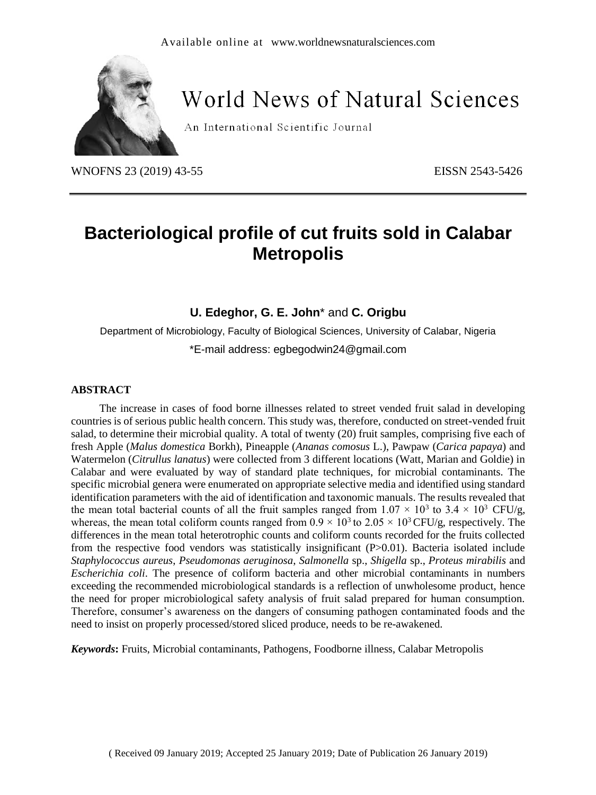

# **World News of Natural Sciences**

An International Scientific Journal

WNOFNS 23 (2019) 43-55 EISSN 2543-5426

## **Bacteriological profile of cut fruits sold in Calabar Metropolis**

**U. Edeghor, G. E. John**\* and **C. Origbu**

Department of Microbiology, Faculty of Biological Sciences, University of Calabar, Nigeria \*E-mail address: [egbegodwin24@gmail.com](mailto:egbegodwin24@gmail.com)

#### **ABSTRACT**

The increase in cases of food borne illnesses related to street vended fruit salad in developing countries is of serious public health concern. This study was, therefore, conducted on street-vended fruit salad, to determine their microbial quality. A total of twenty (20) fruit samples, comprising five each of fresh Apple (*Malus domestica* Borkh), Pineapple (*Ananas comosus* L.), Pawpaw (*Carica papaya*) and Watermelon (*Citrullus lanatus*) were collected from 3 different locations (Watt, Marian and Goldie) in Calabar and were evaluated by way of standard plate techniques, for microbial contaminants. The specific microbial genera were enumerated on appropriate selective media and identified using standard identification parameters with the aid of identification and taxonomic manuals. The results revealed that the mean total bacterial counts of all the fruit samples ranged from  $1.07 \times 10^3$  to  $3.4 \times 10^3$  CFU/g, whereas, the mean total coliform counts ranged from  $0.9 \times 10^3$  to  $2.05 \times 10^3$  CFU/g, respectively. The differences in the mean total heterotrophic counts and coliform counts recorded for the fruits collected from the respective food vendors was statistically insignificant (P>0.01). Bacteria isolated include *Staphylococcus aureus*, *Pseudomonas aeruginosa*, *Salmonella* sp., *Shigella* sp., *Proteus mirabilis* and *Escherichia coli*. The presence of coliform bacteria and other microbial contaminants in numbers exceeding the recommended microbiological standards is a reflection of unwholesome product, hence the need for proper microbiological safety analysis of fruit salad prepared for human consumption. Therefore, consumer's awareness on the dangers of consuming pathogen contaminated foods and the need to insist on properly processed/stored sliced produce, needs to be re-awakened.

*Keywords***:** Fruits, Microbial contaminants, Pathogens, Foodborne illness, Calabar Metropolis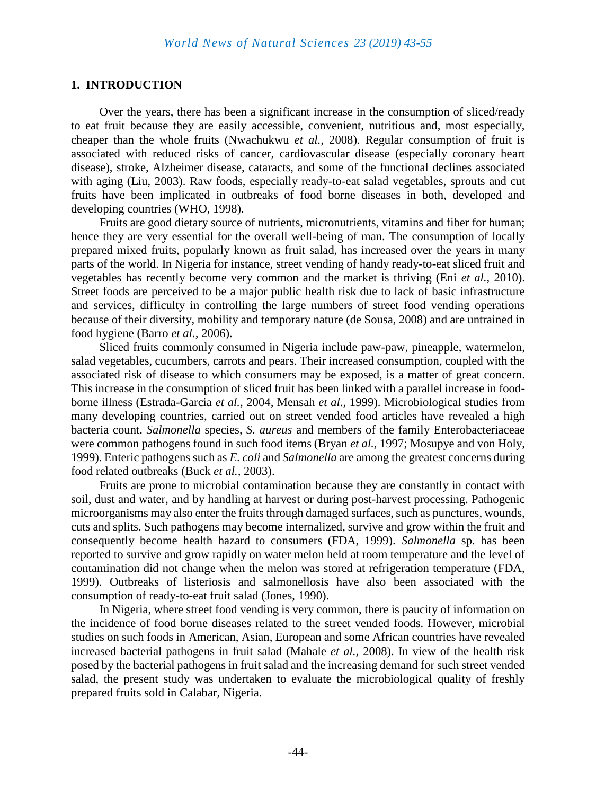#### **1. INTRODUCTION**

Over the years, there has been a significant increase in the consumption of sliced/ready to eat fruit because they are easily accessible, convenient, nutritious and, most especially, cheaper than the whole fruits (Nwachukwu *et al.,* 2008). Regular consumption of fruit is associated with reduced risks of cancer, cardiovascular disease (especially coronary heart disease), stroke, Alzheimer disease, cataracts, and some of the functional declines associated with aging (Liu, 2003). Raw foods, especially ready-to-eat salad vegetables, sprouts and cut fruits have been implicated in outbreaks of food borne diseases in both, developed and developing countries (WHO, 1998).

Fruits are good dietary source of nutrients, micronutrients, vitamins and fiber for human; hence they are very essential for the overall well-being of man. The consumption of locally prepared mixed fruits, popularly known as fruit salad, has increased over the years in many parts of the world. In Nigeria for instance, street vending of handy ready-to-eat sliced fruit and vegetables has recently become very common and the market is thriving (Eni *et al.,* 2010). Street foods are perceived to be a major public health risk due to lack of basic infrastructure and services, difficulty in controlling the large numbers of street food vending operations because of their diversity, mobility and temporary nature (de Sousa, 2008) and are untrained in food hygiene (Barro *et al.,* 2006).

Sliced fruits commonly consumed in Nigeria include paw-paw, pineapple, watermelon, salad vegetables, cucumbers, carrots and pears. Their increased consumption, coupled with the associated risk of disease to which consumers may be exposed, is a matter of great concern. This increase in the consumption of sliced fruit has been linked with a parallel increase in foodborne illness (Estrada-Garcia *et al.,* 2004, Mensah *et al.,* 1999). Microbiological studies from many developing countries, carried out on street vended food articles have revealed a high bacteria count. *Salmonella* species, *S. aureus* and members of the family Enterobacteriaceae were common pathogens found in such food items (Bryan *et al.,* 1997; Mosupye and von Holy, 1999). Enteric pathogens such as *E. coli* and *Salmonella* are among the greatest concerns during food related outbreaks (Buck *et al.,* 2003).

Fruits are prone to microbial contamination because they are constantly in contact with soil, dust and water, and by handling at harvest or during post-harvest processing. Pathogenic microorganisms may also enter the fruits through damaged surfaces, such as punctures, wounds, cuts and splits. Such pathogens may become internalized, survive and grow within the fruit and consequently become health hazard to consumers (FDA, 1999). *Salmonella* sp. has been reported to survive and grow rapidly on water melon held at room temperature and the level of contamination did not change when the melon was stored at refrigeration temperature (FDA, 1999). Outbreaks of listeriosis and salmonellosis have also been associated with the consumption of ready-to-eat fruit salad (Jones, 1990).

In Nigeria, where street food vending is very common, there is paucity of information on the incidence of food borne diseases related to the street vended foods. However, microbial studies on such foods in American, Asian, European and some African countries have revealed increased bacterial pathogens in fruit salad (Mahale *et al.,* 2008). In view of the health risk posed by the bacterial pathogens in fruit salad and the increasing demand for such street vended salad, the present study was undertaken to evaluate the microbiological quality of freshly prepared fruits sold in Calabar, Nigeria.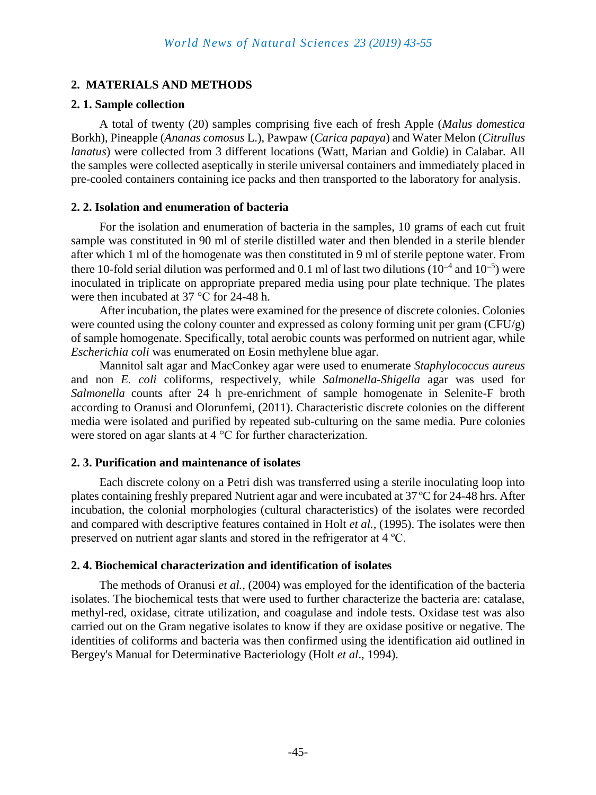## **2. MATERIALS AND METHODS**

#### **2. 1. Sample collection**

A total of twenty (20) samples comprising five each of fresh Apple (*Malus domestica*  Borkh), Pineapple (*Ananas comosus* L.), Pawpaw (*Carica papaya*) and Water Melon (*Citrullus lanatus*) were collected from 3 different locations (Watt, Marian and Goldie) in Calabar. All the samples were collected aseptically in sterile universal containers and immediately placed in pre-cooled containers containing ice packs and then transported to the laboratory for analysis.

#### **2. 2. Isolation and enumeration of bacteria**

For the isolation and enumeration of bacteria in the samples, 10 grams of each cut fruit sample was constituted in 90 ml of sterile distilled water and then blended in a sterile blender after which 1 ml of the homogenate was then constituted in 9 ml of sterile peptone water. From there 10-fold serial dilution was performed and 0.1 ml of last two dilutions  $(10^{-4}$  and  $10^{-5})$  were inoculated in triplicate on appropriate prepared media using pour plate technique. The plates were then incubated at 37 °C for 24-48 h.

After incubation, the plates were examined for the presence of discrete colonies. Colonies were counted using the colony counter and expressed as colony forming unit per gram (CFU/g) of sample homogenate. Specifically, total aerobic counts was performed on nutrient agar, while *Escherichia coli* was enumerated on Eosin methylene blue agar.

Mannitol salt agar and MacConkey agar were used to enumerate *Staphylococcus aureus*  and non *E. coli* coliforms, respectively, while *Salmonella-Shigella* agar was used for *Salmonella* counts after 24 h pre-enrichment of sample homogenate in Selenite-F broth according to Oranusi and Olorunfemi, (2011). Characteristic discrete colonies on the different media were isolated and purified by repeated sub-culturing on the same media. Pure colonies were stored on agar slants at 4 °C for further characterization.

#### **2. 3. Purification and maintenance of isolates**

Each discrete colony on a Petri dish was transferred using a sterile inoculating loop into plates containing freshly prepared Nutrient agar and were incubated at 37 ºC for 24-48 hrs. After incubation, the colonial morphologies (cultural characteristics) of the isolates were recorded and compared with descriptive features contained in Holt *et al.,* (1995). The isolates were then preserved on nutrient agar slants and stored in the refrigerator at 4 ºC.

#### **2. 4. Biochemical characterization and identification of isolates**

The methods of Oranusi *et al.,* (2004) was employed for the identification of the bacteria isolates. The biochemical tests that were used to further characterize the bacteria are: catalase, methyl-red, oxidase, citrate utilization, and coagulase and indole tests. Oxidase test was also carried out on the Gram negative isolates to know if they are oxidase positive or negative. The identities of coliforms and bacteria was then confirmed using the identification aid outlined in Bergey's Manual for Determinative Bacteriology (Holt *et al*., 1994).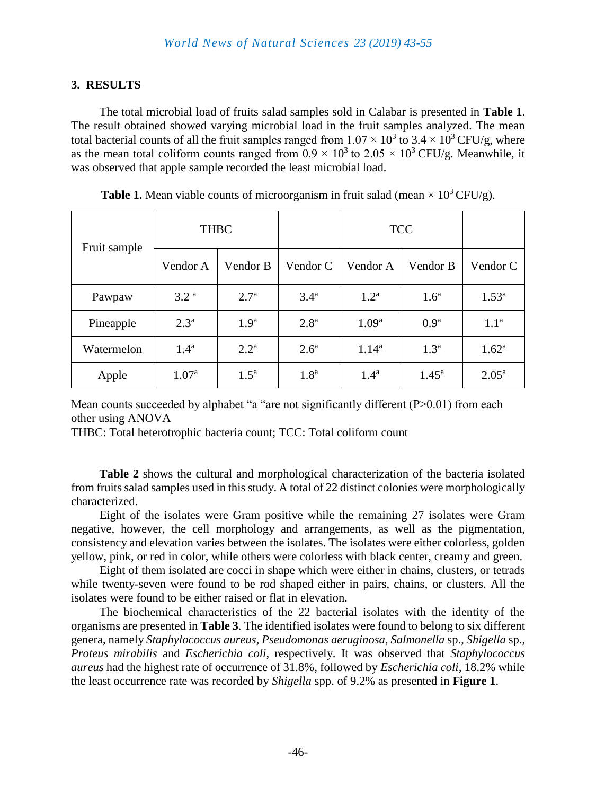## **3. RESULTS**

The total microbial load of fruits salad samples sold in Calabar is presented in **Table 1**. The result obtained showed varying microbial load in the fruit samples analyzed. The mean total bacterial counts of all the fruit samples ranged from  $1.07 \times 10^3$  to 3.4  $\times$  10<sup>3</sup> CFU/g, where as the mean total coliform counts ranged from  $0.9 \times 10^3$  to  $2.05 \times 10^3$  CFU/g. Meanwhile, it was observed that apple sample recorded the least microbial load.

| Fruit sample | <b>THBC</b>       |                  |                  | <b>TCC</b>        |                  |                   |
|--------------|-------------------|------------------|------------------|-------------------|------------------|-------------------|
|              | Vendor A          | Vendor B         | Vendor C         | Vendor A          | Vendor B         | Vendor C          |
| Pawpaw       | 3.2 <sup>a</sup>  | 2.7 <sup>a</sup> | $3.4^{\rm a}$    | 1.2 <sup>a</sup>  | 1.6 <sup>a</sup> | $1.53^{\rm a}$    |
| Pineapple    | 2.3 <sup>a</sup>  | 1.9 <sup>a</sup> | 2.8 <sup>a</sup> | 1.09 <sup>a</sup> | 0.9 <sup>a</sup> | 1.1 <sup>a</sup>  |
| Watermelon   | 1.4 <sup>a</sup>  | $2.2^{\rm a}$    | 2.6 <sup>a</sup> | $1.14^{a}$        | 1.3 <sup>a</sup> | 1.62 <sup>a</sup> |
| Apple        | 1.07 <sup>a</sup> | $1.5^{\text{a}}$ | 1.8 <sup>a</sup> | 1.4 <sup>a</sup>  | $1.45^{\rm a}$   | $2.05^{\rm a}$    |

**Table 1.** Mean viable counts of microorganism in fruit salad (mean  $\times 10^3$  CFU/g).

Mean counts succeeded by alphabet "a "are not significantly different (P>0.01) from each other using ANOVA

THBC: Total heterotrophic bacteria count; TCC: Total coliform count

**Table 2** shows the cultural and morphological characterization of the bacteria isolated from fruits salad samples used in this study. A total of 22 distinct colonies were morphologically characterized.

Eight of the isolates were Gram positive while the remaining 27 isolates were Gram negative, however, the cell morphology and arrangements, as well as the pigmentation, consistency and elevation varies between the isolates. The isolates were either colorless, golden yellow, pink, or red in color, while others were colorless with black center, creamy and green.

Eight of them isolated are cocci in shape which were either in chains, clusters, or tetrads while twenty-seven were found to be rod shaped either in pairs, chains, or clusters. All the isolates were found to be either raised or flat in elevation.

The biochemical characteristics of the 22 bacterial isolates with the identity of the organisms are presented in **Table 3**. The identified isolates were found to belong to six different genera, namely *Staphylococcus aureus*, *Pseudomonas aeruginosa*, *Salmonella* sp., *Shigella* sp., *Proteus mirabilis* and *Escherichia coli*, respectively. It was observed that *Staphylococcus aureus* had the highest rate of occurrence of 31.8%, followed by *Escherichia coli,* 18.2% while the least occurrence rate was recorded by *Shigella* spp. of 9.2% as presented in **Figure 1**.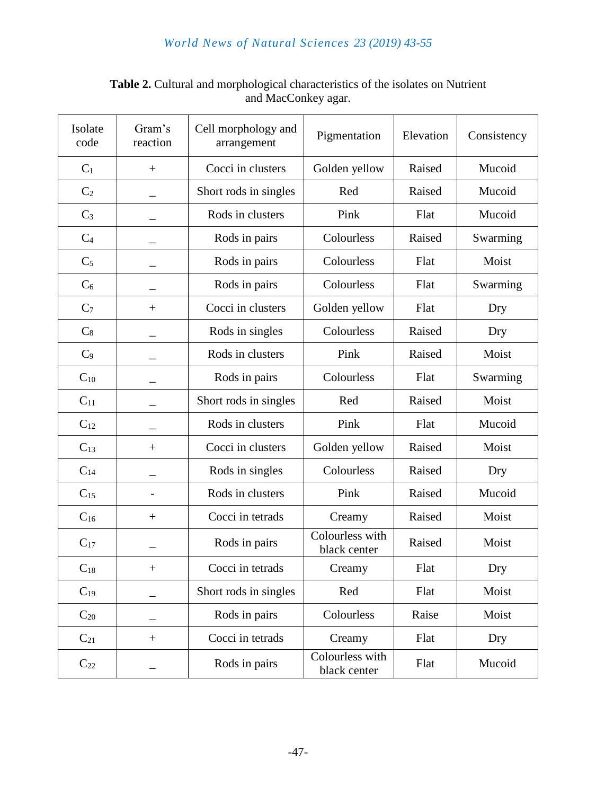## *World News of Natural Sciences 23 (2019) 43-55*

| Isolate<br>code   | Gram's<br>reaction | Cell morphology and<br>arrangement | Pigmentation                    | Elevation | Consistency |  |  |  |
|-------------------|--------------------|------------------------------------|---------------------------------|-----------|-------------|--|--|--|
| $C_1$             | $+$                | Cocci in clusters                  | Golden yellow                   | Raised    | Mucoid      |  |  |  |
| C <sub>2</sub>    |                    | Short rods in singles              | Red                             | Raised    | Mucoid      |  |  |  |
| $C_3$             |                    | Rods in clusters                   | Pink                            | Flat      | Mucoid      |  |  |  |
| C <sub>4</sub>    |                    | Rods in pairs                      | Colourless                      | Raised    | Swarming    |  |  |  |
| $C_5$             |                    | Rods in pairs                      | Colourless                      | Flat      | Moist       |  |  |  |
| $C_6$             |                    | Rods in pairs                      | Colourless                      | Flat      | Swarming    |  |  |  |
| C <sub>7</sub>    | $\! + \!\!\!\!$    | Cocci in clusters                  | Golden yellow                   | Flat      | Dry         |  |  |  |
| $C_8$             |                    | Rods in singles                    | Colourless                      | Raised    | Dry         |  |  |  |
| C <sub>9</sub>    |                    | Rods in clusters                   | Pink                            | Raised    | Moist       |  |  |  |
| $C_{10}$          |                    | Rods in pairs                      | Colourless                      | Flat      | Swarming    |  |  |  |
| $C_{11}$          |                    | Short rods in singles              | Red                             | Raised    | Moist       |  |  |  |
| $C_{12}$          |                    | Rods in clusters                   | Pink                            | Flat      | Mucoid      |  |  |  |
| $C_{13}$          | $^{+}$             | Cocci in clusters                  | Golden yellow                   | Raised    | Moist       |  |  |  |
| $C_{14}$          |                    | Rods in singles                    | Colourless                      | Raised    | Dry         |  |  |  |
| $C_{15}$          |                    | Rods in clusters                   | Pink                            | Raised    | Mucoid      |  |  |  |
| $\mathrm{C}_{16}$ | $\! + \!\!\!\!$    | Cocci in tetrads                   | Creamy                          | Raised    | Moist       |  |  |  |
| $C_{17}$          |                    | Rods in pairs                      | Colourless with<br>black center | Raised    | Moist       |  |  |  |
| $C_{18}$          | $+$                | Cocci in tetrads                   | Creamy                          | Flat      | Dry         |  |  |  |
| $C_{19}$          |                    | Short rods in singles              | Red                             | Flat      | Moist       |  |  |  |
| $C_{20}$          |                    | Rods in pairs                      | Colourless                      | Raise     | Moist       |  |  |  |
| $C_{21}$          | $^{+}$             | Cocci in tetrads                   | Creamy                          | Flat      | Dry         |  |  |  |
| $C_{22}$          |                    | Rods in pairs                      | Colourless with<br>black center | Flat      | Mucoid      |  |  |  |

## **Table 2.** Cultural and morphological characteristics of the isolates on Nutrient and MacConkey agar.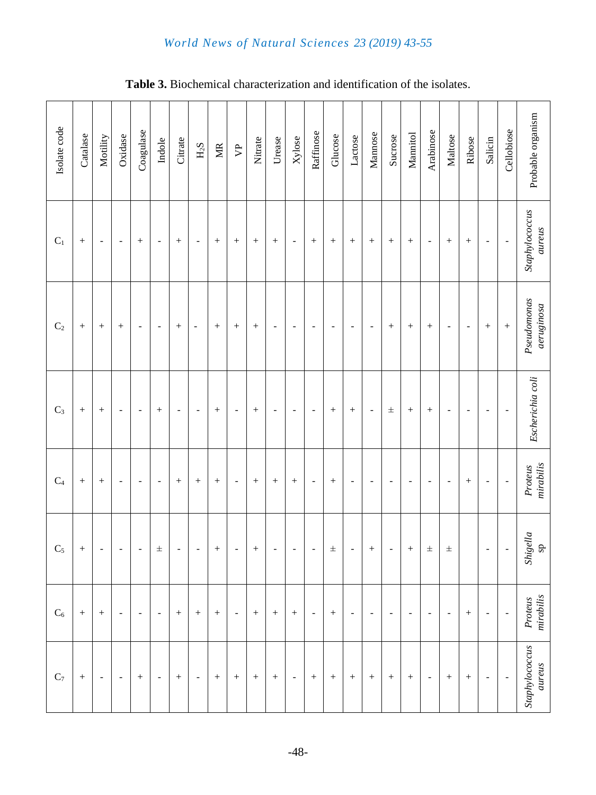## *World News of Natural Sciences 23 (2019) 43-55*

| Isolate code   | Catalase | Motility                     | Oxidase                  | Coagulase                | Indole                   | Citrate                  | ${\rm H}_2{\rm S}$           | $\overline{\text{MR}}$ | $\mathfrak{P}$               | Nitrate | Urease                   | Xylose                   | Raffinose                    | Glucose                  | Lactose                  | Mannose                  | Sucrose                      | Mannitol                 | Arabinose                | Maltose                  | Ribose                   | Salicin                  | Cellobiose               | Probable organism                                     |
|----------------|----------|------------------------------|--------------------------|--------------------------|--------------------------|--------------------------|------------------------------|------------------------|------------------------------|---------|--------------------------|--------------------------|------------------------------|--------------------------|--------------------------|--------------------------|------------------------------|--------------------------|--------------------------|--------------------------|--------------------------|--------------------------|--------------------------|-------------------------------------------------------|
| $C_1$          | $^{+}$   | $\overline{\phantom{m}}$     | $\overline{\phantom{a}}$ | $\boldsymbol{+}$         | $\overline{\phantom{a}}$ |                          | $\qquad \qquad \blacksquare$ | $^{+}$                 | $\! + \!$                    |         | $\! + \!$                | $\blacksquare$           | $\boldsymbol{+}$             |                          | $^{+}$                   | $\! + \!$                |                              | $\boldsymbol{+}$         | $\overline{\phantom{a}}$ | $\boldsymbol{+}$         | $^{+}$                   | -                        | $\blacksquare$           | Staphylococcus<br>aureus                              |
| C <sub>2</sub> | $^{+}$   |                              | $^{+}$                   | $\blacksquare$           | $\overline{\phantom{a}}$ |                          | $\overline{\phantom{a}}$     | $^{+}$                 |                              | $^{+}$  | $\overline{\phantom{a}}$ | $\overline{\phantom{a}}$ | $\overline{\phantom{a}}$     | $\overline{\phantom{a}}$ | $\overline{\phantom{a}}$ | $\blacksquare$           | $\boldsymbol{+}$             | $\boldsymbol{+}$         | $^{+}$                   | $\overline{\phantom{a}}$ | $\overline{\phantom{a}}$ |                          | $\qquad \qquad +$        | Pseudo monas<br>$a$ eruginos $a$                      |
| $C_3$          | $^{+}$   |                              | $\overline{\phantom{a}}$ | $\overline{\phantom{a}}$ |                          | $\overline{\phantom{a}}$ | ÷                            |                        | $\overline{\phantom{a}}$     | $^{+}$  | $\overline{\phantom{a}}$ | $\blacksquare$           | $\overline{\phantom{a}}$     |                          | $^{+}$                   | $\overline{\phantom{a}}$ | $\pm$                        | $^{+}$                   | $^{+}$                   | $\overline{\phantom{a}}$ | $\overline{\phantom{a}}$ | ۰                        | $\overline{\phantom{a}}$ | Escherichia coli                                      |
| $\mathrm{C}_4$ | $^{+}$   |                              | $\overline{\phantom{a}}$ | ۰                        | $\overline{\phantom{a}}$ | $^{+}$                   | $\boldsymbol{+}$             | $^{+}$                 | $\blacksquare$               | $^{+}$  | $\! + \!$                | $\boldsymbol{+}$         | $\overline{\phantom{a}}$     | $^{+}$                   | $\overline{a}$           | $\overline{\phantom{a}}$ | ٠                            | $\overline{\phantom{0}}$ | $\overline{\phantom{a}}$ | $\overline{\phantom{a}}$ |                          | -                        | $\overline{\phantom{a}}$ | $\it mirability$<br>Proteus                           |
| $C_5$          | $^{+}$   | $\qquad \qquad \blacksquare$ | $\overline{a}$           | $\overline{a}$           | $\pm$                    | $\overline{\phantom{a}}$ | $\overline{a}$               | $^{+}$                 | $\qquad \qquad \blacksquare$ |         | $\overline{\phantom{a}}$ | $\blacksquare$           | $\qquad \qquad \blacksquare$ | $\pm$                    | $\frac{1}{2}$            |                          | $\qquad \qquad \blacksquare$ |                          | $\pm$                    | $\pm$                    |                          | ÷,                       | $\blacksquare$           | $\begin{array}{c} \it Shigella \\ \rm sp \end{array}$ |
| $\mathrm{C}_6$ | $^{+}$   |                              | $\overline{\phantom{a}}$ | $\overline{a}$           | $\overline{\phantom{a}}$ | $^{+}$                   | $\boldsymbol{+}$             | $^{+}$                 | $\blacksquare$               |         | $\! + \!$                | $\boldsymbol{+}$         | $\overline{\phantom{a}}$     |                          | $\overline{\phantom{a}}$ | $\overline{\phantom{a}}$ | $\overline{\phantom{a}}$     | $\overline{\phantom{a}}$ | $\sim$                   | $\blacksquare$           |                          | $\overline{a}$           | $\overline{\phantom{a}}$ | $\it mirability$<br>Proteus                           |
| $\mathrm{C}_7$ | $^{+}$   | $\qquad \qquad \blacksquare$ | $\blacksquare$           | $\boldsymbol{+}$         | $\blacksquare$           |                          | $\overline{\phantom{a}}$     | $^{+}$                 |                              | $\! +$  | $\! + \!$                | $\blacksquare$           | $+$                          |                          | $\boldsymbol{+}$         | $\! + \!$                | $\boldsymbol{+}$             | $\boldsymbol{+}$         | $\blacksquare$           | $\boldsymbol{+}$         |                          | $\overline{\phantom{a}}$ | $\Box$                   | Staphylococcus<br>aureus                              |

**Table 3.** Biochemical characterization and identification of the isolates.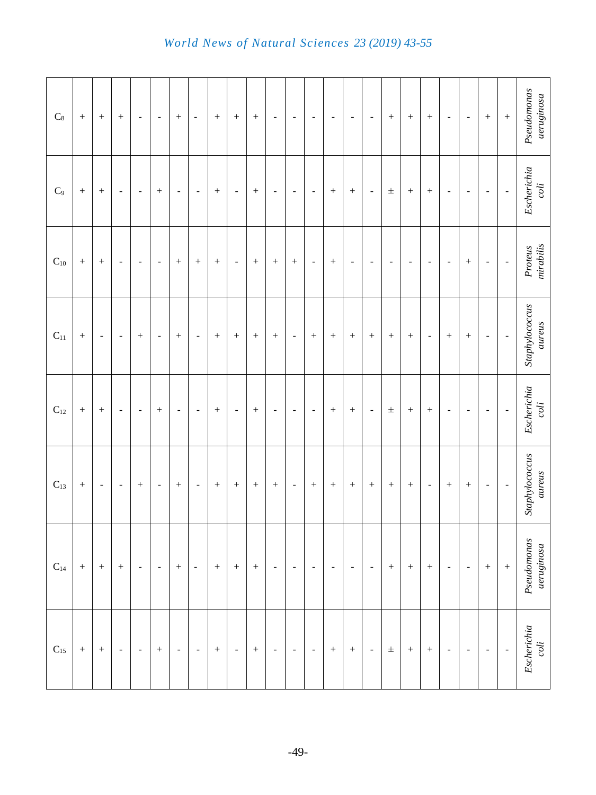| $\mathrm{C}_8$    |                  | $\! + \!$                    | $\! + \!$                | $\blacksquare$           | $\overline{\phantom{a}}$ | $\boldsymbol{+}$         | $\overline{\phantom{a}}$ |                  | $\! + \!$                | $\boldsymbol{+}$  | $\overline{\phantom{a}}$ | $\overline{\phantom{a}}$     | $\overline{\phantom{a}}$ | $\overline{\phantom{a}}$ | $\overline{\phantom{a}}$ | $\overline{\phantom{a}}$ | $\! + \!$                | $\! + \!$        | $\boldsymbol{+}$         | $\overline{\phantom{a}}$ | $\overline{\phantom{a}}$ |                          | $\qquad \qquad +$        | Pseudo monons<br>$a$ eruginosa |
|-------------------|------------------|------------------------------|--------------------------|--------------------------|--------------------------|--------------------------|--------------------------|------------------|--------------------------|-------------------|--------------------------|------------------------------|--------------------------|--------------------------|--------------------------|--------------------------|--------------------------|------------------|--------------------------|--------------------------|--------------------------|--------------------------|--------------------------|--------------------------------|
| $\mathrm{C}_9$    |                  | $\! + \!$                    | $\overline{\phantom{a}}$ | $\overline{\phantom{a}}$ |                          | $\overline{\phantom{a}}$ | $\overline{\phantom{a}}$ |                  | $\blacksquare$           | $\! + \!$         | $\overline{\phantom{a}}$ | $\overline{\phantom{a}}$     | $\overline{\phantom{a}}$ |                          | $\! + \!$                | $\overline{\phantom{a}}$ | $\pm$                    | $\! + \!$        | $\boldsymbol{+}$         | $\blacksquare$           | $\overline{\phantom{a}}$ | $\overline{\phantom{a}}$ | $\blacksquare$           | $Escherichia$ coli             |
| $\mathrm{C}_{10}$ | $\! + \!$        | $^{+}$                       | $\overline{\phantom{a}}$ | $\Box$                   | $\blacksquare$           |                          |                          | $^{+}$           | $\blacksquare$           | $\qquad \qquad +$ | $\boldsymbol{+}$         | $\boldsymbol{+}$             | $\overline{\phantom{a}}$ |                          | $\overline{\phantom{a}}$ | $\blacksquare$           | $\overline{\phantom{a}}$ | $\blacksquare$   | $\overline{\phantom{a}}$ | $\blacksquare$           | $^{+}$                   | $\overline{\phantom{a}}$ | $\Box$                   | Proteus<br>mirabilis           |
| $\mathrm{C}_{11}$ |                  | $\qquad \qquad \blacksquare$ | $\blacksquare$           | $\! + \!$                | $\blacksquare$           |                          | $\blacksquare$           | $\! + \!$        | $\boldsymbol{+}$         | $\boldsymbol{+}$  |                          | $\qquad \qquad \blacksquare$ |                          |                          | $\! + \!$                | $\! + \!$                | $\! + \!$                | $\! + \!$        | $\overline{\phantom{a}}$ | $+$                      | $\! + \!$                | $\overline{\phantom{a}}$ | ÷                        | Staphylococcus<br>aureus       |
| $\mathrm{C}_{12}$ |                  |                              | $\overline{\phantom{a}}$ | $\blacksquare$           |                          | $\overline{\phantom{a}}$ | $\overline{\phantom{a}}$ |                  | $\overline{\phantom{a}}$ | $\! + \!$         | $\overline{\phantom{a}}$ | $\overline{\phantom{a}}$     | $\overline{\phantom{a}}$ |                          | $\qquad \qquad +$        | $\blacksquare$           | $\pm$                    | $\! + \!$        | $\,+\,$                  | $\overline{\phantom{a}}$ | $\overline{\phantom{a}}$ | $\overline{\phantom{a}}$ | $\overline{\phantom{0}}$ | Escherichia<br>coli            |
| $C_{13}$          | $^{+}$           | $\overline{\phantom{a}}$     | $\overline{\phantom{a}}$ | $\qquad \qquad +$        | $\blacksquare$           | $\! + \!$                | $\overline{\phantom{a}}$ | $^{+}$           | $\boldsymbol{+}$         | $\qquad \qquad +$ | $\boldsymbol{+}$         | $\blacksquare$               | $^{+}$                   |                          | $^{+}$                   | $\boldsymbol{+}$         | $\qquad \qquad +$        | $\! + \!$        | $\overline{\phantom{a}}$ | $+$                      | $\! + \!$                | $\blacksquare$           | $\overline{\phantom{a}}$ | Staphylococcus<br>aureus       |
| $\mathrm{C}_{14}$ | $\boldsymbol{+}$ | $\boldsymbol{+}$             | $\boldsymbol{+}$         | $\overline{\phantom{a}}$ | $\blacksquare$           | $\boldsymbol{+}$         | $\overline{\phantom{a}}$ | $\boldsymbol{+}$ | $\boldsymbol{+}$         | $\boldsymbol{+}$  | $\blacksquare$           | $\blacksquare$               | $\blacksquare$           | $\overline{\phantom{a}}$ | $\overline{\phantom{a}}$ | $\overline{\phantom{a}}$ | $+$                      | $\boldsymbol{+}$ | $\boldsymbol{+}$         | $\blacksquare$           | $\blacksquare$           | $\boldsymbol{+}$         | $\qquad \qquad +$        | Pseudomonas<br>$a$ eruginosa   |
| $\mathrm{C}_{15}$ | $\! + \!$        | $\! + \!$                    | $\overline{\phantom{a}}$ | $\blacksquare$           |                          | $\overline{\phantom{a}}$ | $\overline{\phantom{a}}$ | $\boldsymbol{+}$ | $\blacksquare$           | $\boldsymbol{+}$  | $\overline{\phantom{a}}$ | $\blacksquare$               | $\overline{\phantom{a}}$ | $\boldsymbol{+}$         | $\qquad \qquad +$        | $\overline{\phantom{a}}$ | $\pm$                    | $\! + \!$        | $\boldsymbol{+}$         | $\overline{\phantom{a}}$ | $\blacksquare$           | $\blacksquare$           | $\Box$                   | Escherichia<br>coli            |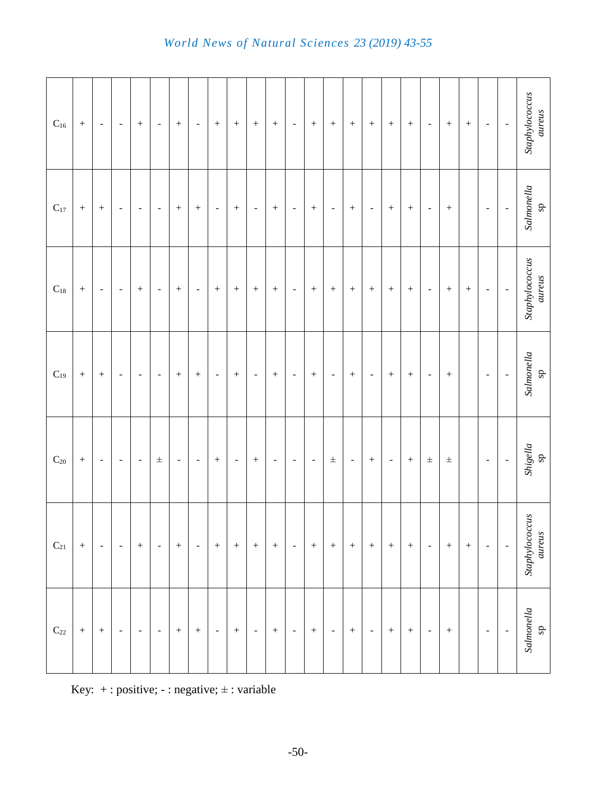| $\mathrm{C}_{16}$ |           | $\overline{\phantom{a}}$ | $\overline{\phantom{a}}$ | $\! + \!$                    | $\blacksquare$           | $\boldsymbol{+}$         | $\overline{\phantom{a}}$ | $\! + \!$                |                          | $\! + \!$           | $\boldsymbol{+}$         | $\overline{\phantom{a}}$ | $\boldsymbol{+}$         |                          |                          | $\boldsymbol{+}$         | $\! + \!$         | $\! + \!$        | $\overline{\phantom{a}}$ | $\boldsymbol{+}$ | $\overline{\phantom{a}}$ | $\frac{1}{\sqrt{2}}$         | Staphylococcus<br>aureus                              |
|-------------------|-----------|--------------------------|--------------------------|------------------------------|--------------------------|--------------------------|--------------------------|--------------------------|--------------------------|---------------------|--------------------------|--------------------------|--------------------------|--------------------------|--------------------------|--------------------------|-------------------|------------------|--------------------------|------------------|--------------------------|------------------------------|-------------------------------------------------------|
| $\mathrm{C}_{17}$ |           |                          | $\overline{\phantom{a}}$ | $\qquad \qquad \blacksquare$ | $\overline{\phantom{a}}$ | $\! + \!$                | $\! + \!$                | $\overline{\phantom{a}}$ |                          | $\Box$              |                          | $\overline{\phantom{a}}$ | $\! + \!$                | $\overline{\phantom{a}}$ |                          | $\Box$                   | $\! + \!$         | $\! + \!$        | $\overline{\phantom{a}}$ |                  | $\overline{\phantom{a}}$ | $\overline{\phantom{0}}$     | Salmonella<br>sp                                      |
| $\mathrm{C}_{18}$ |           | $\overline{\phantom{a}}$ | $\overline{\phantom{a}}$ | $\! + \!$                    | $\overline{\phantom{a}}$ | $\boldsymbol{+}$         | $\blacksquare$           | $\! + \!$                | $\boldsymbol{+}$         | $\! + \!$           |                          | $\overline{\phantom{a}}$ | $\left. +\right.$        |                          |                          | $\! + \!$                | $\! + \!$         | $\! + \!$        | $\overline{\phantom{a}}$ |                  | $\overline{\phantom{a}}$ | ÷,                           | Staphylococcus<br>aureus                              |
| $C_{19}$          |           | $\! + \!$                | $\blacksquare$           | $\blacksquare$               | $\blacksquare$           | $\! + \!$                | $\! + \!$                | $\blacksquare$           | $\! + \!$                | $\bar{\phantom{a}}$ | $\qquad \qquad +$        | $\overline{\phantom{a}}$ | $\! + \!$                | $\blacksquare$           | $\! + \!$                | $\Box$                   | $\! + \!$         | $\! + \!$        | $\blacksquare$           | $\! + \!$        | $\overline{\phantom{a}}$ | $\overline{\phantom{a}}$     | Salmonella<br>sp                                      |
| $\mathrm{C}_{20}$ | $\! + \!$ | $\overline{\phantom{a}}$ | $\overline{\phantom{a}}$ | $\Box$                       | $\pm$                    | $\overline{\phantom{a}}$ | $\overline{\phantom{a}}$ | $\! + \!$                | $\overline{\phantom{a}}$ | $\! + \!$           | $\overline{\phantom{a}}$ | $\overline{\phantom{a}}$ | $\overline{\phantom{a}}$ | $\pm$                    | $\overline{\phantom{a}}$ | $\qquad \qquad +$        | $\Box$            | $\! + \!$        | $\pm$                    | $\pm$            | $\overline{\phantom{a}}$ | $\qquad \qquad \blacksquare$ | $\begin{array}{c} \it Shigella \\ \rm sp \end{array}$ |
| $C_{21}$          | $\! + \!$ | $\overline{\phantom{a}}$ | $\overline{\phantom{a}}$ | $\boldsymbol{+}$             | $\overline{\phantom{a}}$ | $\boldsymbol{+}$         | $\blacksquare$           | $\boldsymbol{+}$         | $\boldsymbol{+}$         | $\! + \!$           | $\boldsymbol{+}$         | $\overline{\phantom{a}}$ | $\boldsymbol{+}$         | $\boldsymbol{+}$         |                          | $\boldsymbol{+}$         | $\qquad \qquad +$ | $\boldsymbol{+}$ | $\overline{\phantom{a}}$ | $+$              | $\overline{\phantom{a}}$ | $\qquad \qquad \blacksquare$ | Staphylococcus<br>aureus                              |
| $\mathrm{C}_{22}$ | $\! + \!$ | $\! + \!$                | $\Box$                   | $\overline{\phantom{a}}$     | $\blacksquare$           | $\boldsymbol{+}$         | $\boldsymbol{+}$         | $\overline{\phantom{a}}$ | $\boldsymbol{+}$         | $\blacksquare$      | $\boldsymbol{+}$         | $\blacksquare$           | $^{+}$                   | $\blacksquare$           | $\qquad \qquad +$        | $\overline{\phantom{a}}$ | $\boldsymbol{+}$  | $\boldsymbol{+}$ | $\overline{\phantom{a}}$ | $\boldsymbol{+}$ | $\sim$                   | $\blacksquare$               | Salmonella<br>sp                                      |

Key:  $+$ : positive; - : negative;  $\pm$ : variable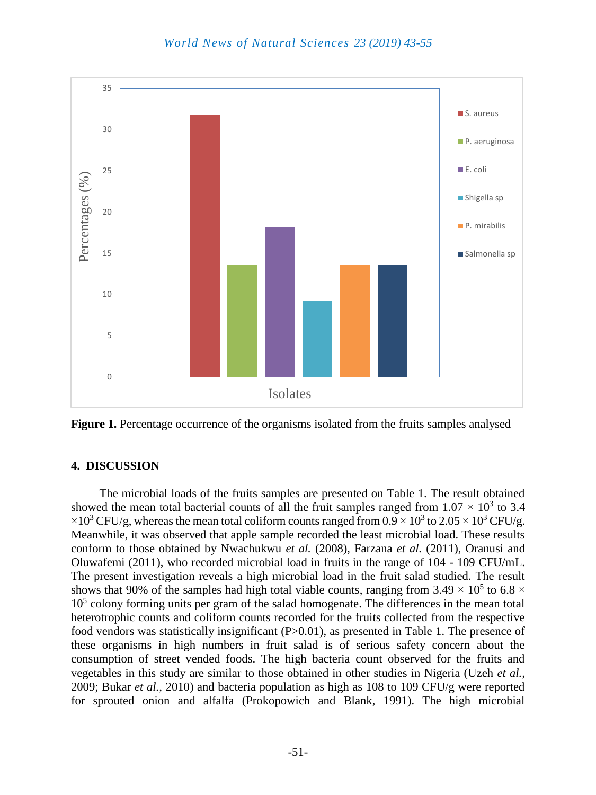

**Figure 1.** Percentage occurrence of the organisms isolated from the fruits samples analysed

#### **4. DISCUSSION**

The microbial loads of the fruits samples are presented on Table 1. The result obtained showed the mean total bacterial counts of all the fruit samples ranged from  $1.07 \times 10^3$  to 3.4  $\times 10^3$  CFU/g, whereas the mean total coliform counts ranged from 0.9  $\times$  10<sup>3</sup> to 2.05  $\times$  10<sup>3</sup> CFU/g. Meanwhile, it was observed that apple sample recorded the least microbial load. These results conform to those obtained by Nwachukwu *et al.* (2008), Farzana *et al.* (2011), Oranusi and Oluwafemi (2011), who recorded microbial load in fruits in the range of 104 - 109 CFU/mL. The present investigation reveals a high microbial load in the fruit salad studied. The result shows that 90% of the samples had high total viable counts, ranging from 3.49  $\times$  10<sup>5</sup> to 6.8  $\times$  $10<sup>5</sup>$  colony forming units per gram of the salad homogenate. The differences in the mean total heterotrophic counts and coliform counts recorded for the fruits collected from the respective food vendors was statistically insignificant (P $>0.01$ ), as presented in Table 1. The presence of these organisms in high numbers in fruit salad is of serious safety concern about the consumption of street vended foods. The high bacteria count observed for the fruits and vegetables in this study are similar to those obtained in other studies in Nigeria (Uzeh *et al.,* 2009; Bukar *et al.,* 2010) and bacteria population as high as 108 to 109 CFU/g were reported for sprouted onion and alfalfa (Prokopowich and Blank, 1991). The high microbial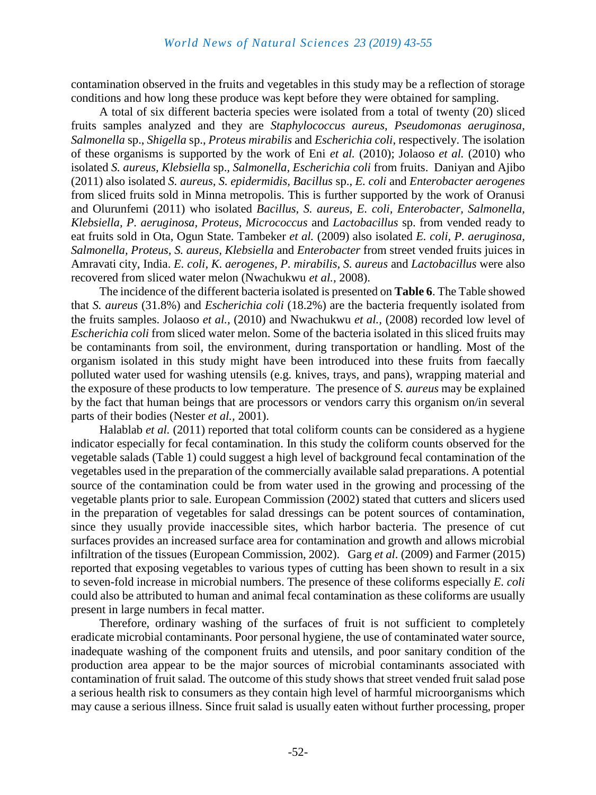contamination observed in the fruits and vegetables in this study may be a reflection of storage conditions and how long these produce was kept before they were obtained for sampling.

A total of six different bacteria species were isolated from a total of twenty (20) sliced fruits samples analyzed and they are *Staphylococcus aureus*, *Pseudomonas aeruginosa*, *Salmonella* sp., *Shigella* sp., *Proteus mirabilis* and *Escherichia coli*, respectively. The isolation of these organisms is supported by the work of Eni *et al.* (2010); Jolaoso *et al.* (2010) who isolated *S. aureus, Klebsiella* sp.*, Salmonella, Escherichia coli* from fruits. Daniyan and Ajibo (2011) also isolated *S. aureus, S. epidermidis, Bacillus* sp.*, E. coli* and *Enterobacter aerogenes*  from sliced fruits sold in Minna metropolis. This is further supported by the work of Oranusi and Olurunfemi (2011) who isolated *Bacillus, S. aureus, E. coli, Enterobacter, Salmonella, Klebsiella, P. aeruginosa, Proteus, Micrococcus* and *Lactobacillus* sp. from vended ready to eat fruits sold in Ota, Ogun State. Tambeker *et al.* (2009) also isolated *E. coli, P. aeruginosa, Salmonella, Proteus, S. aureus, Klebsiella* and *Enterobacter* from street vended fruits juices in Amravati city, India. *E. coli, K. aerogenes, P. mirabilis, S. aureus* and *Lactobacillus* were also recovered from sliced water melon (Nwachukwu *et al.,* 2008).

The incidence of the different bacteria isolated is presented on **Table 6**. The Table showed that *S. aureus* (31.8%) and *Escherichia coli* (18.2%) are the bacteria frequently isolated from the fruits samples. Jolaoso *et al.,* (2010) and Nwachukwu *et al.,* (2008) recorded low level of *Escherichia coli* from sliced water melon. Some of the bacteria isolated in this sliced fruits may be contaminants from soil, the environment, during transportation or handling. Most of the organism isolated in this study might have been introduced into these fruits from faecally polluted water used for washing utensils (e.g. knives, trays, and pans), wrapping material and the exposure of these products to low temperature. The presence of *S. aureus* may be explained by the fact that human beings that are processors or vendors carry this organism on/in several parts of their bodies (Nester *et al.,* 2001).

Halablab *et al.* (2011) reported that total coliform counts can be considered as a hygiene indicator especially for fecal contamination. In this study the coliform counts observed for the vegetable salads (Table 1) could suggest a high level of background fecal contamination of the vegetables used in the preparation of the commercially available salad preparations. A potential source of the contamination could be from water used in the growing and processing of the vegetable plants prior to sale. European Commission (2002) stated that cutters and slicers used in the preparation of vegetables for salad dressings can be potent sources of contamination, since they usually provide inaccessible sites, which harbor bacteria. The presence of cut surfaces provides an increased surface area for contamination and growth and allows microbial infiltration of the tissues (European Commission, 2002). Garg *et al*. (2009) and Farmer (2015) reported that exposing vegetables to various types of cutting has been shown to result in a six to seven-fold increase in microbial numbers. The presence of these coliforms especially *E. coli* could also be attributed to human and animal fecal contamination as these coliforms are usually present in large numbers in fecal matter.

Therefore, ordinary washing of the surfaces of fruit is not sufficient to completely eradicate microbial contaminants. Poor personal hygiene, the use of contaminated water source, inadequate washing of the component fruits and utensils, and poor sanitary condition of the production area appear to be the major sources of microbial contaminants associated with contamination of fruit salad. The outcome of this study shows that street vended fruit salad pose a serious health risk to consumers as they contain high level of harmful microorganisms which may cause a serious illness. Since fruit salad is usually eaten without further processing, proper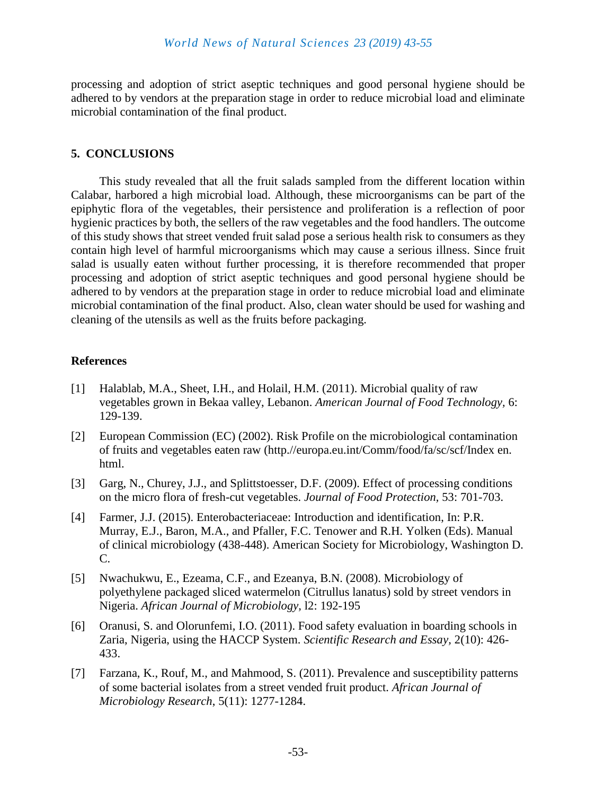processing and adoption of strict aseptic techniques and good personal hygiene should be adhered to by vendors at the preparation stage in order to reduce microbial load and eliminate microbial contamination of the final product.

#### **5. CONCLUSIONS**

This study revealed that all the fruit salads sampled from the different location within Calabar, harbored a high microbial load. Although, these microorganisms can be part of the epiphytic flora of the vegetables, their persistence and proliferation is a reflection of poor hygienic practices by both, the sellers of the raw vegetables and the food handlers. The outcome of this study shows that street vended fruit salad pose a serious health risk to consumers as they contain high level of harmful microorganisms which may cause a serious illness. Since fruit salad is usually eaten without further processing, it is therefore recommended that proper processing and adoption of strict aseptic techniques and good personal hygiene should be adhered to by vendors at the preparation stage in order to reduce microbial load and eliminate microbial contamination of the final product. Also, clean water should be used for washing and cleaning of the utensils as well as the fruits before packaging.

### **References**

- [1] Halablab, M.A., Sheet, I.H., and Holail, H.M. (2011). Microbial quality of raw vegetables grown in Bekaa valley, Lebanon. *American Journal of Food Technology,* 6: 129-139.
- [2] European Commission (EC) (2002). Risk Profile on the microbiological contamination of fruits and vegetables eaten raw (http.//europa.eu.int/Comm/food/fa/sc/scf/Index en. html.
- [3] Garg, N., Churey, J.J., and Splittstoesser, D.F. (2009). Effect of processing conditions on the micro flora of fresh-cut vegetables. *Journal of Food Protection,* 53: 701-703.
- [4] Farmer, J.J. (2015). Enterobacteriaceae: Introduction and identification, In: P.R. Murray, E.J., Baron, M.A., and Pfaller, F.C. Tenower and R.H. Yolken (Eds). Manual of clinical microbiology (438-448). American Society for Microbiology, Washington D. C.
- [5] Nwachukwu, E., Ezeama, C.F., and Ezeanya, B.N. (2008). Microbiology of polyethylene packaged sliced watermelon (Citrullus lanatus) sold by street vendors in Nigeria. *African Journal of Microbiology,* l2: 192-195
- [6] Oranusi, S. and Olorunfemi, I.O. (2011). Food safety evaluation in boarding schools in Zaria, Nigeria, using the HACCP System. *Scientific Research and Essay,* 2(10): 426- 433.
- [7] Farzana, K., Rouf, M., and Mahmood, S. (2011). Prevalence and susceptibility patterns of some bacterial isolates from a street vended fruit product. *African Journal of Microbiology Research*, 5(11): 1277-1284.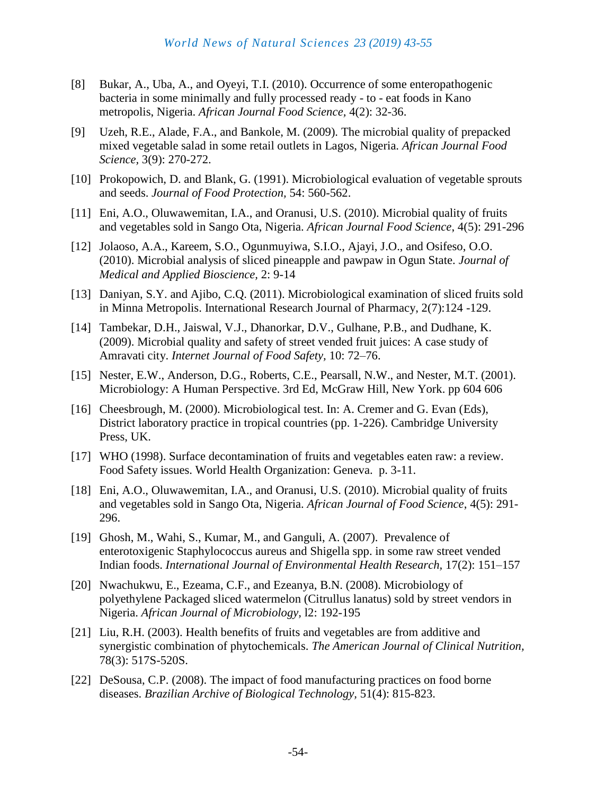- [8] Bukar, A., Uba, A., and Oyeyi, T.I. (2010). Occurrence of some enteropathogenic bacteria in some minimally and fully processed ready - to - eat foods in Kano metropolis, Nigeria. *African Journal Food Science,* 4(2): 32-36.
- [9] Uzeh, R.E., Alade, F.A., and Bankole, M. (2009). The microbial quality of prepacked mixed vegetable salad in some retail outlets in Lagos, Nigeria. *African Journal Food Science,* 3(9): 270-272.
- [10] Prokopowich, D. and Blank, G. (1991). Microbiological evaluation of vegetable sprouts and seeds. *Journal of Food Protection,* 54: 560-562.
- [11] Eni, A.O., Oluwawemitan, I.A., and Oranusi, U.S. (2010). Microbial quality of fruits and vegetables sold in Sango Ota, Nigeria. *African Journal Food Science*, 4(5): 291-296
- [12] Jolaoso, A.A., Kareem, S.O., Ogunmuyiwa, S.I.O., Ajayi, J.O., and Osifeso, O.O. (2010). Microbial analysis of sliced pineapple and pawpaw in Ogun State. *Journal of Medical and Applied Bioscience,* 2: 9-14
- [13] Daniyan, S.Y. and Ajibo, C.Q. (2011). Microbiological examination of sliced fruits sold in Minna Metropolis. International Research Journal of Pharmacy, 2(7):124 -129.
- [14] Tambekar, D.H., Jaiswal, V.J., Dhanorkar, D.V., Gulhane, P.B., and Dudhane, K. (2009). Microbial quality and safety of street vended fruit juices: A case study of Amravati city. *Internet Journal of Food Safety,* 10: 72–76.
- [15] Nester, E.W., Anderson, D.G., Roberts, C.E., Pearsall, N.W., and Nester, M.T. (2001). Microbiology: A Human Perspective. 3rd Ed, McGraw Hill, New York. pp 604 606
- [16] Cheesbrough, M. (2000). Microbiological test. In: A. Cremer and G. Evan (Eds), District laboratory practice in tropical countries (pp. 1-226). Cambridge University Press, UK.
- [17] WHO (1998). Surface decontamination of fruits and vegetables eaten raw: a review. Food Safety issues. World Health Organization: Geneva. p. 3-11.
- [18] Eni, A.O., Oluwawemitan, I.A., and Oranusi, U.S. (2010). Microbial quality of fruits and vegetables sold in Sango Ota, Nigeria. *African Journal of Food Science*, 4(5): 291- 296.
- [19] Ghosh, M., Wahi, S., Kumar, M., and Ganguli, A. (2007). Prevalence of enterotoxigenic Staphylococcus aureus and Shigella spp. in some raw street vended Indian foods. *International Journal of Environmental Health Research,* 17(2): 151–157
- [20] Nwachukwu, E., Ezeama, C.F., and Ezeanya, B.N. (2008). Microbiology of polyethylene Packaged sliced watermelon (Citrullus lanatus) sold by street vendors in Nigeria. *African Journal of Microbiology,* l2: 192-195
- [21] Liu, R.H. (2003). Health benefits of fruits and vegetables are from additive and synergistic combination of phytochemicals. *The American Journal of Clinical Nutrition,* 78(3): 517S-520S.
- [22] DeSousa, C.P. (2008). The impact of food manufacturing practices on food borne diseases. *Brazilian Archive of Biological Technology,* 51(4): 815-823.